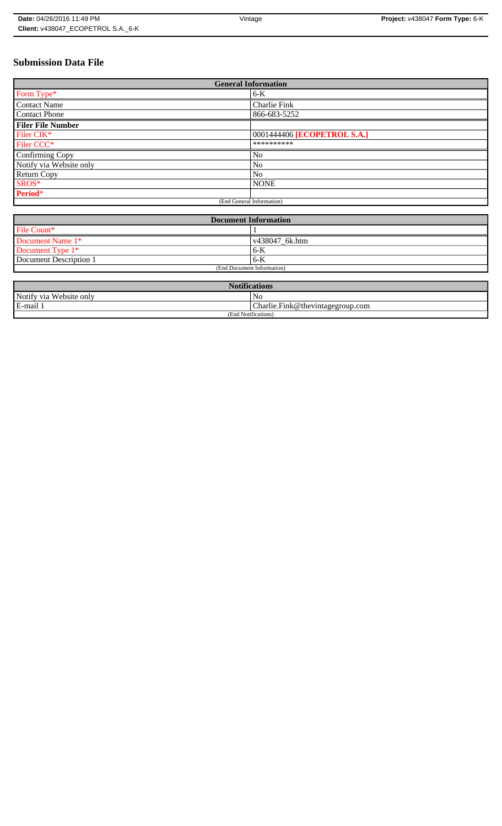# **Submission Data File**

| <b>General Information</b> |                             |  |
|----------------------------|-----------------------------|--|
| Form Type*                 | $6-K$                       |  |
| <b>Contact Name</b>        | Charlie Fink                |  |
| <b>Contact Phone</b>       | 866-683-5252                |  |
| <b>Filer File Number</b>   |                             |  |
| Filer CIK*                 | 0001444406 [ECOPETROL S.A.] |  |
| Filer CCC <sup>*</sup>     | **********                  |  |
| Confirming Copy            | No                          |  |
| Notify via Website only    | N <sub>o</sub>              |  |
| <b>Return Copy</b>         | N <sub>o</sub>              |  |
| SROS*                      | <b>NONE</b>                 |  |
| Period*                    |                             |  |
| (End General Information)  |                             |  |

| <b>Document Information</b> |                        |  |
|-----------------------------|------------------------|--|
| File Count*                 |                        |  |
| Document Name 1*            | $\sqrt{438047}$ 6k.htm |  |
| Document Type 1*            | 6-K                    |  |
| Document Description 1      | 6-K                    |  |
| (End Document Information)  |                        |  |

| <b>Notifications</b>    |                                  |  |
|-------------------------|----------------------------------|--|
| Notify via Website only | No                               |  |
| E-mail                  | Charlie.Fink@thevintagegroup.com |  |
| (End Notifications)     |                                  |  |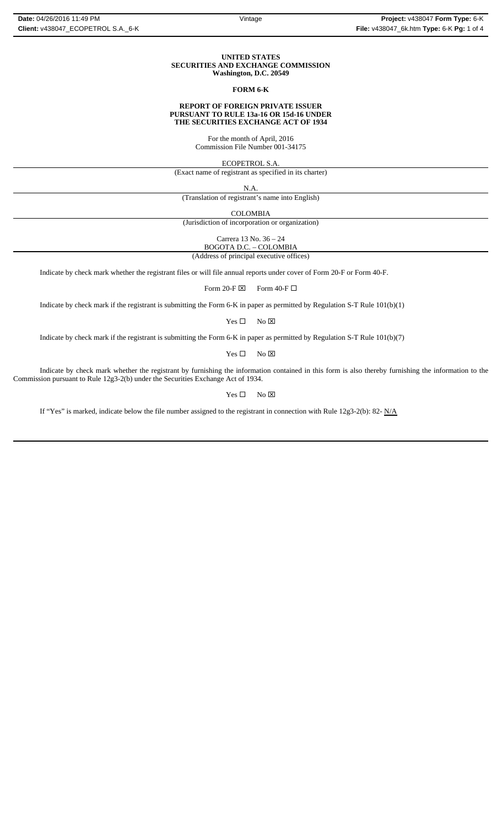#### **UNITED STATES SECURITIES AND EXCHANGE COMMISSION Washington, D.C. 20549**

### **FORM 6-K**

#### **REPORT OF FOREIGN PRIVATE ISSUER PURSUANT TO RULE 13a-16 OR 15d-16 UNDER THE SECURITIES EXCHANGE ACT OF 1934**

For the month of April, 2016 Commission File Number 001-34175

ECOPETROL S.A.

(Exact name of registrant as specified in its charter)

N.A.

(Translation of registrant's name into English)

COLOMBIA

(Jurisdiction of incorporation or organization)

Carrera 13 No. 36 – 24

BOGOTA D.C. – COLOMBIA (Address of principal executive offices)

Indicate by check mark whether the registrant files or will file annual reports under cover of Form 20-F or Form 40-F.

Form 20-F  $\boxtimes$  Form 40-F  $\Box$ 

Indicate by check mark if the registrant is submitting the Form 6-K in paper as permitted by Regulation S-T Rule 101(b)(1)

 $Yes \Box$  No  $\boxtimes$ 

Indicate by check mark if the registrant is submitting the Form 6-K in paper as permitted by Regulation S-T Rule 101(b)(7)

 $Yes \Box$  No  $\boxtimes$ 

Indicate by check mark whether the registrant by furnishing the information contained in this form is also thereby furnishing the information to the Commission pursuant to Rule 12g3-2(b) under the Securities Exchange Act of 1934.

 $Yes \Box$  No  $\boxtimes$ 

If "Yes" is marked, indicate below the file number assigned to the registrant in connection with Rule 12g3-2(b): 82-  $N/A$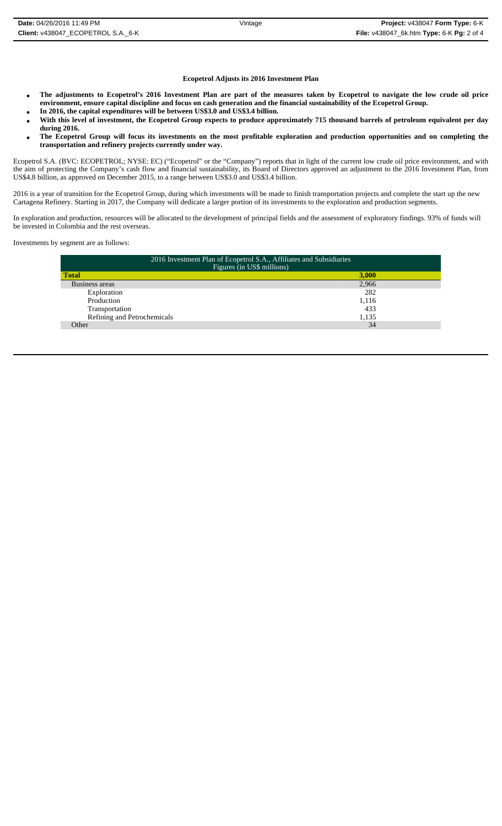### **Ecopetrol Adjusts its 2016 Investment Plan**

- **The adjustments to Ecopetrol's 2016 Investment Plan are part of the measures taken by Ecopetrol to navigate the low crude oil price environment, ensure capital discipline and focus on cash generation and the financial sustainability of the Ecopetrol Group.**
- **In 2016, the capital expenditures will be between US\$3.0 and US\$3.4 billion.**
- **With this level of investment, the Ecopetrol Group expects to produce approximately 715 thousand barrels of petroleum equivalent per day during 2016.**
- **The Ecopetrol Group will focus its investments on the most profitable exploration and production opportunities and on completing the transportation and refinery projects currently under way.**

Ecopetrol S.A. (BVC: ECOPETROL; NYSE: EC) ("Ecopetrol" or the "Company") reports that in light of the current low crude oil price environment, and with the aim of protecting the Company's cash flow and financial sustainability, its Board of Directors approved an adjustment to the 2016 Investment Plan, from US\$4.8 billion, as approved on December 2015, to a range between US\$3.0 and US\$3.4 billion.

2016 is a year of transition for the Ecopetrol Group, during which investments will be made to finish transportation projects and complete the start up the new Cartagena Refinery. Starting in 2017, the Company will dedicate a larger portion of its investments to the exploration and production segments.

In exploration and production, resources will be allocated to the development of principal fields and the assessment of exploratory findings. 93% of funds will be invested in Colombia and the rest overseas.

Investments by segment are as follows:

|                                      | Figures (in US\$ millions) |  |  |
|--------------------------------------|----------------------------|--|--|
| <b>Total</b><br>3,000                |                            |  |  |
| Business areas<br>2,966              |                            |  |  |
| 282<br>Exploration                   |                            |  |  |
| Production<br>1,116                  |                            |  |  |
| Transportation<br>433                |                            |  |  |
| Refining and Petrochemicals<br>1,135 |                            |  |  |
| 34<br>Other                          |                            |  |  |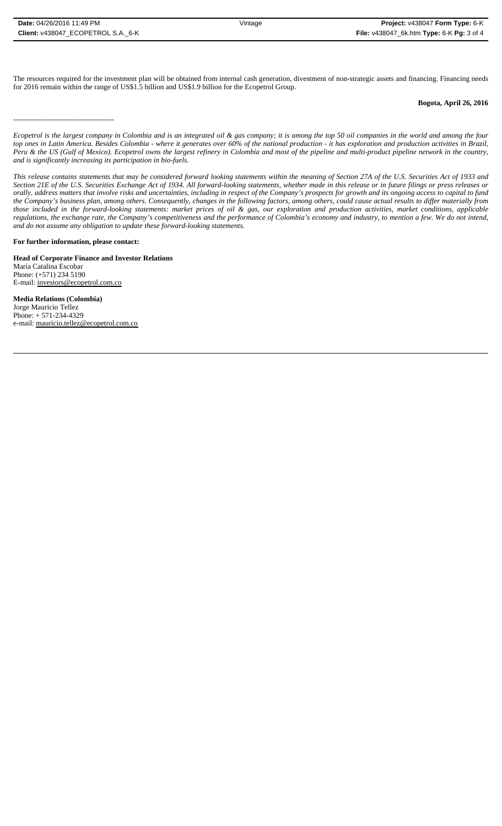-----------------------------------------

The resources required for the investment plan will be obtained from internal cash generation, divestment of non-strategic assets and financing. Financing needs for 2016 remain within the range of US\$1.5 billion and US\$1.9 billion for the Ecopetrol Group.

# **Bogota, April 26, 2016**

*Ecopetrol is the largest company in Colombia and is an integrated oil & gas company; it is among the top 50 oil companies in the world and among the four top ones in Latin America. Besides Colombia - where it generates over 60% of the national production - it has exploration and production activities in Brazil, Peru & the US (Gulf of Mexico). Ecopetrol owns the largest refinery in Colombia and most of the pipeline and multi-product pipeline network in the country, and is significantly increasing its participation in bio-fuels.*

*This release contains statements that may be considered forward looking statements within the meaning of Section 27A of the U.S. Securities Act of 1933 and Section 21E of the U.S. Securities Exchange Act of 1934. All forward-looking statements, whether made in this release or in future filings or press releases or orally, address matters that involve risks and uncertainties, including in respect of the Company's prospects for growth and its ongoing access to capital to fund the Company's business plan, among others. Consequently, changes in the following factors, among others, could cause actual results to differ materially from those included in the forward-looking statements: market prices of oil & gas, our exploration and production activities, market conditions, applicable regulations, the exchange rate, the Company's competitiveness and the performance of Colombia's economy and industry, to mention a few. We do not intend, and do not assume any obligation to update these forward-looking statements.*

**For further information, please contact:** 

**Head of Corporate Finance and Investor Relations** María Catalina Escobar Phone: (+571) 234 5190 E-mail: investors@ecopetrol.com.co

**Media Relations (Colombia)**  Jorge Mauricio Tellez Phone: + 571-234-4329 e-mail: mauricio.tellez@ecopetrol.com.co